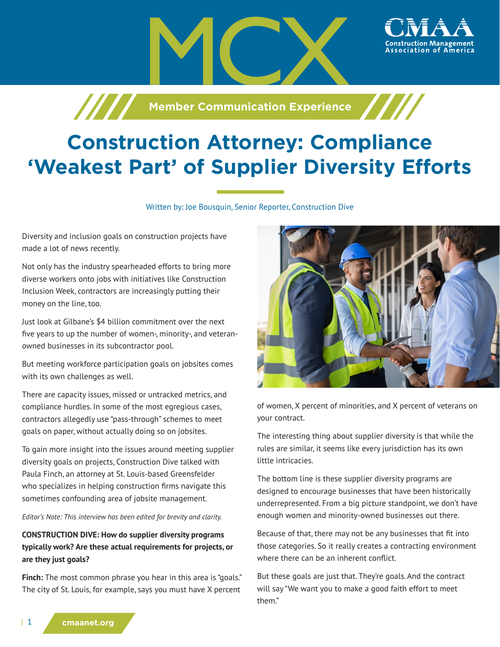

# **Construction Attorney: Compliance 'Weakest Part' of Supplier Diversity Efforts**

Written by: Joe Bousquin, Senior Reporter, Construction Dive

Diversity and inclusion goals on construction projects have made a lot of news recently.

Not only has the industry spearheaded efforts to bring more diverse workers onto jobs with initiatives like Construction Inclusion Week, contractors are increasingly putting their money on the line, too.

Just look at Gilbane's \$4 billion commitment over the next five years to up the number of women-, minority-, and veteranowned businesses in its subcontractor pool.

But meeting workforce participation goals on jobsites comes with its own challenges as well.

There are capacity issues, missed or untracked metrics, and compliance hurdles. In some of the most egregious cases, contractors allegedly use "pass-through" schemes to meet goals on paper, without actually doing so on jobsites.

To gain more insight into the issues around meeting supplier diversity goals on projects, Construction Dive talked with Paula Finch, an attorney at St. Louis-based Greensfelder who specializes in helping construction firms navigate this sometimes confounding area of jobsite management.

*Editor's Note: This interview has been edited for brevity and clarity.*

## **CONSTRUCTION DIVE: How do supplier diversity programs typically work? Are these actual requirements for projects, or are they just goals?**

**Finch:** The most common phrase you hear in this area is "goals." The city of St. Louis, for example, says you must have X percent



ssociation of America،

of women, X percent of minorities, and X percent of veterans on your contract.

The interesting thing about supplier diversity is that while the rules are similar, it seems like every jurisdiction has its own little intricacies.

The bottom line is these supplier diversity programs are designed to encourage businesses that have been historically underrepresented. From a big picture standpoint, we don't have enough women and minority-owned businesses out there.

Because of that, there may not be any businesses that fit into those categories. So it really creates a contracting environment where there can be an inherent conflict.

But these goals are just that. They're goals. And the contract will say "We want you to make a good faith effort to meet them."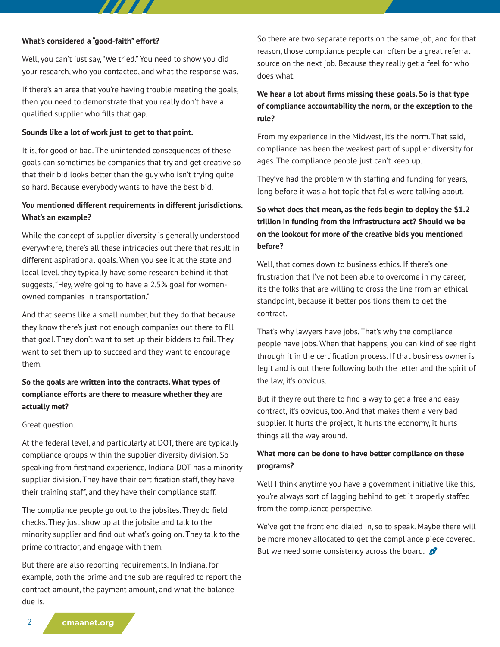#### **What's considered a "good-faith" effort?**

Well, you can't just say, "We tried." You need to show you did your research, who you contacted, and what the response was.

77 T

If there's an area that you're having trouble meeting the goals, then you need to demonstrate that you really don't have a qualified supplier who fills that gap.

#### **Sounds like a lot of work just to get to that point.**

It is, for good or bad. The unintended consequences of these goals can sometimes be companies that try and get creative so that their bid looks better than the guy who isn't trying quite so hard. Because everybody wants to have the best bid.

## **You mentioned different requirements in different jurisdictions. What's an example?**

While the concept of supplier diversity is generally understood everywhere, there's all these intricacies out there that result in different aspirational goals. When you see it at the state and local level, they typically have some research behind it that suggests, "Hey, we're going to have a 2.5% goal for womenowned companies in transportation."

And that seems like a small number, but they do that because they know there's just not enough companies out there to fill that goal. They don't want to set up their bidders to fail. They want to set them up to succeed and they want to encourage them.

## **So the goals are written into the contracts. What types of compliance efforts are there to measure whether they are actually met?**

### Great question.

At the federal level, and particularly at DOT, there are typically compliance groups within the supplier diversity division. So speaking from firsthand experience, Indiana DOT has a minority supplier division. They have their certification staff, they have their training staff, and they have their compliance staff.

The compliance people go out to the jobsites. They do field checks. They just show up at the jobsite and talk to the minority supplier and find out what's going on. They talk to the prime contractor, and engage with them.

But there are also reporting requirements. In Indiana, for example, both the prime and the sub are required to report the contract amount, the payment amount, and what the balance due is.

So there are two separate reports on the same job, and for that reason, those compliance people can often be a great referral source on the next job. Because they really get a feel for who does what.

## **We hear a lot about firms missing these goals. So is that type of compliance accountability the norm, or the exception to the rule?**

From my experience in the Midwest, it's the norm. That said, compliance has been the weakest part of supplier diversity for ages. The compliance people just can't keep up.

They've had the problem with staffing and funding for years, long before it was a hot topic that folks were talking about.

# **So what does that mean, as the feds begin to deploy the \$1.2 trillion in funding from the infrastructure act? Should we be on the lookout for more of the creative bids you mentioned before?**

Well, that comes down to business ethics. If there's one frustration that I've not been able to overcome in my career, it's the folks that are willing to cross the line from an ethical standpoint, because it better positions them to get the contract.

That's why lawyers have jobs. That's why the compliance people have jobs. When that happens, you can kind of see right through it in the certification process. If that business owner is legit and is out there following both the letter and the spirit of the law, it's obvious.

But if they're out there to find a way to get a free and easy contract, it's obvious, too. And that makes them a very bad supplier. It hurts the project, it hurts the economy, it hurts things all the way around.

## **What more can be done to have better compliance on these programs?**

Well I think anytime you have a government initiative like this, you're always sort of lagging behind to get it properly staffed from the compliance perspective.

We've got the front end dialed in, so to speak. Maybe there will be more money allocated to get the compliance piece covered. But we need some consistency across the board.  $\mathcal{L}$